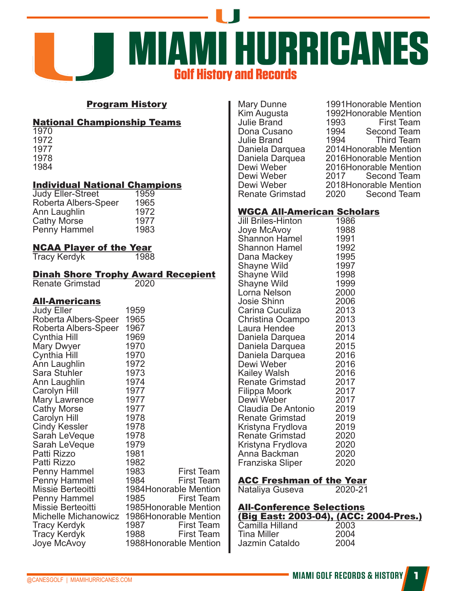

### Program History

#### National Championship Teams

#### Individual National Champions

| Judy Eller-Street    | 1959 |
|----------------------|------|
| Roberta Albers-Speer | 1965 |
| Ann Laughlin         | 1972 |
| Cathy Morse          | 1977 |
| Penny Hammel         | 1983 |
|                      |      |

# **NCAA Player of the Year**<br>Tracy Kerdyk 1988

Tracy Kerdyk

## **Dinah Shore Trophy Award Recepient**<br>Renate Grimstad 2020

Renate Grimstad

#### All-Americans

| 1959                                          |
|-----------------------------------------------|
| 1965                                          |
| 1967                                          |
| 1969                                          |
| 1970                                          |
| 1970                                          |
| 1972                                          |
| 1973                                          |
| 1974                                          |
| 1977                                          |
| 1977                                          |
| 1977                                          |
| 1978                                          |
| 1978                                          |
| 1978                                          |
| 1979                                          |
| 1981                                          |
| 1982                                          |
| 1983<br><b>First Team</b>                     |
| 1984<br><b>First Team</b>                     |
| 1984Honorable Mention                         |
| <b>First Team</b><br>1985                     |
| 1985Honorable Mention                         |
| Michelle Michanowicz<br>1986Honorable Mention |
| First Team<br>1987                            |
| 1988<br><b>First Team</b>                     |
| 1988Honorable Mention                         |
|                                               |

Julie Brand 1993<br>Dona Cusano 1994 Julie Brand<br>Daniela Darquea Renate Grimstad

## Mary Dunne 1991Honorable Mention<br>Kim Augusta 1992Honorable Mention 1992Honorable Mention<br>1993 First Team 1994 Second Team<br>1994 Third Team Daniela Darquea 2014Honorable Mention<br>Daniela Darquea 2016Honorable Mention Daniela Darquea 2016Honorable Mention<br>Dewi Weber 2016Honorable Mention Dewi Weber <sup>2016</sup>Honorable Mention<br>Dewi Weber 2017 Second Team Dewi Weber 2017 Second Team<br>Dewi Weber 2018 Honorable Mention 2018Honorable Mention<br>2020 Second Team

#### WGCA All-American Scholars

| <u>a an american</u>      | ווש  |
|---------------------------|------|
| <b>Jill Briles-Hinton</b> | 1986 |
| Joye McAvoy               | 1988 |
| Shannon Hamel             | 1991 |
| <b>Shannon Hamel</b>      | 1992 |
| Dana Mackey               | 1995 |
| Shayne Wild               | 1997 |
| Shayne Wild               | 1998 |
| Shayne Wild               | 1999 |
| Lorna Nelson              | 2000 |
| <b>Josie Shinn</b>        | 2006 |
| Carina Cuculiza           | 2013 |
| Christina Ocampo          | 2013 |
| Laura Hendee              | 2013 |
| Daniela Darquea           | 2014 |
| Daniela Darquea           | 2015 |
| Daniela Darquea           | 2016 |
| Dewi Weber                | 2016 |
| Kailey Walsh              | 2016 |
| <b>Renate Grimstad</b>    | 2017 |
| Filippa Moork             | 2017 |
| Dewi Weber                | 2017 |
| Claudia De Antonio        | 2019 |
| <b>Renate Grimstad</b>    | 2019 |
| Kristyna Frydlova         | 2019 |
| <b>Renate Grimstad</b>    | 2020 |
| Kristyna Frydlova         | 2020 |
| Anna Backman              | 2020 |
| Franziska Sliper          | 2020 |
|                           |      |

# **ACC Freshman of the Year**<br>Nataliya Guseya 2020-21

Nataliya Guseva

## All-Conference Selections **(Big East: 2003-04), (ACC: 2004-Pres.)**<br>Camilla Hilland 2003

| Camilla Hilland | 2003 |
|-----------------|------|
| Tina Miller     | 2004 |
| Jazmin Cataldo  | 2004 |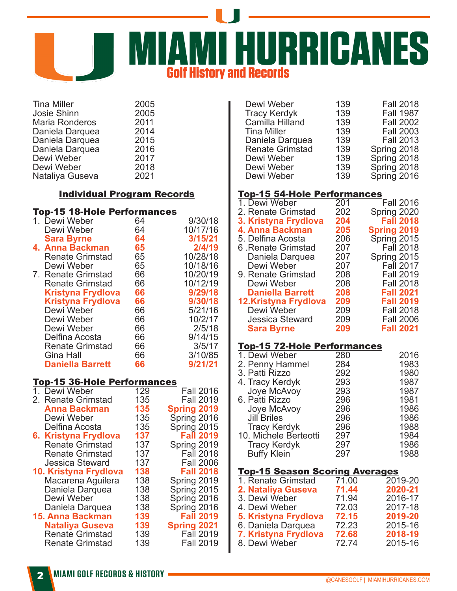

| <b>Tina Miller</b>    | 2005 |
|-----------------------|------|
| Josie Shinn           | 2005 |
| <b>Maria Ronderos</b> | 2011 |
| Daniela Darquea       | 2014 |
| Daniela Darquea       | 2015 |
| Daniela Darquea       | 2016 |
| Dewi Weber            | 2017 |
| Dewi Weber            | 2018 |
| Nataliya Guseva       | 2021 |
|                       |      |

## Individual Program Records

#### Top-15 18-Hole Performances

| 1. Dewi Weber            | 64 | 9/30/18  |
|--------------------------|----|----------|
| Dewi Weber               | 64 | 10/17/16 |
| <b>Sara Byrne</b>        | 64 | 3/15/21  |
| 4. Anna Backman          | 65 | 2/4/19   |
| <b>Renate Grimstad</b>   | 65 | 10/28/18 |
| Dewi Weber               | 65 | 10/18/16 |
| 7. Renate Grimstad       | 66 | 10/20/19 |
| <b>Renate Grimstad</b>   | 66 | 10/12/19 |
| <b>Kristyna Frydlova</b> | 66 | 9/29/18  |
| <b>Kristyna Frydlova</b> | 66 | 9/30/18  |
| Dewi Weber               | 66 | 5/21/16  |
| Dewi Weber               | 66 | 10/2/17  |
| Dewi Weber               | 66 | 2/5/18   |
| Delfina Acosta           | 66 | 9/14/15  |
| <b>Renate Grimstad</b>   | 66 | 3/5/17   |
| Gina Hall                | 66 | 3/10/85  |
| <b>Daniella Barrett</b>  | 66 | 9/21/21  |
|                          |    |          |

#### Top-15 36-Hole Performances

| 1. Dewi Weber           | 129 | <b>Fall 2016</b>   |
|-------------------------|-----|--------------------|
| 2. Renate Grimstad      | 135 | <b>Fall 2019</b>   |
| <b>Anna Backman</b>     | 135 | <b>Spring 2019</b> |
| Dewi Weber              | 135 | Spring 2016        |
| Delfina Acosta          | 135 | Spring 2015        |
| 6. Kristyna Frydlova    | 137 | <b>Fall 2019</b>   |
| <b>Renate Grimstad</b>  | 137 | Spring 2019        |
| <b>Renate Grimstad</b>  | 137 | <b>Fall 2018</b>   |
| <b>Jessica Steward</b>  | 137 | <b>Fall 2006</b>   |
| 10. Kristyna Frydlova   | 138 | <b>Fall 2018</b>   |
| Macarena Aguilera       | 138 | Spring 2019        |
| Daniela Darquea         | 138 | Spring 2015        |
| Dewi Weber              | 138 | Spring 2016        |
| Daniela Darquea         | 138 | Spring 2016        |
| <b>15. Anna Backman</b> | 139 | <b>Fall 2019</b>   |
| <b>Nataliya Guseva</b>  | 139 | <b>Spring 2021</b> |
| <b>Renate Grimstad</b>  | 139 | <b>Fall 2019</b>   |
| <b>Renate Grimstad</b>  | 139 | <b>Fall 2019</b>   |
|                         |     |                    |

| Dewi Weber             | 139 | <b>Fall 2018</b> |
|------------------------|-----|------------------|
| <b>Tracy Kerdyk</b>    | 139 | <b>Fall 1987</b> |
| Camilla Hilland        | 139 | <b>Fall 2002</b> |
| <b>Tina Miller</b>     | 139 | <b>Fall 2003</b> |
| Daniela Darquea        | 139 | <b>Fall 2013</b> |
| <b>Renate Grimstad</b> | 139 | Spring 2018      |
| Dewi Weber             | 139 | Spring 2018      |
| Dewi Weber             | 139 | Spring 2018      |
| Dewi Weber             | 139 | Spring 2016      |

## Top-15 54-Hole Performances

| 1. Dewi Weber           | 201 | <b>Fall 2016</b>   |
|-------------------------|-----|--------------------|
| 2. Renate Grimstad      | 202 | Spring 2020        |
| 3. Kristyna Frydlova    | 204 | <b>Fall 2018</b>   |
| 4. Anna Backman         | 205 | <b>Spring 2019</b> |
| 5. Delfina Acosta       | 206 | Spring 2015        |
| 6 Renate Grimstad       | 207 | <b>Fall 2018</b>   |
| Daniela Darquea         | 207 | Spring 2015        |
| Dewi Weber              | 207 | Fall 2017          |
| 9. Renate Grimstad      | 208 | <b>Fall 2019</b>   |
| Dewi Weber              | 208 | <b>Fall 2018</b>   |
| <b>Daniella Barrett</b> | 208 | <b>Fall 2021</b>   |
| 12.Kristyna Frydlova    | 209 | <b>Fall 2019</b>   |
| Dewi Weber              | 209 | <b>Fall 2018</b>   |
| <b>Jessica Steward</b>  | 209 | <b>Fall 2006</b>   |
| <b>Sara Byrne</b>       | 209 | <b>Fall 2021</b>   |
|                         |     |                    |

#### Top-15 72-Hole Performances

| 2016 |
|------|
| 1983 |
| 1980 |
| 1987 |
| 1987 |
| 1981 |
| 1986 |
| 1986 |
| 1988 |
| 1984 |
| 1986 |
| 1988 |
|      |

### Top-15 Season Scoring Averages

| 1. Renate Grimstad   | 71.00 | 2019-20 |
|----------------------|-------|---------|
| 2. Nataliya Guseva   | 71.44 | 2020-21 |
| 3. Dewi Weber        | 71.94 | 2016-17 |
| 4. Dewi Weber        | 72.03 | 2017-18 |
| 5. Kristyna Frydlova | 72.15 | 2019-20 |
| 6. Daniela Darquea   | 72.23 | 2015-16 |
| 7. Kristyna Frydlova | 72.68 | 2018-19 |
| 8. Dewi Weber        | 72.74 | 2015-16 |
|                      |       |         |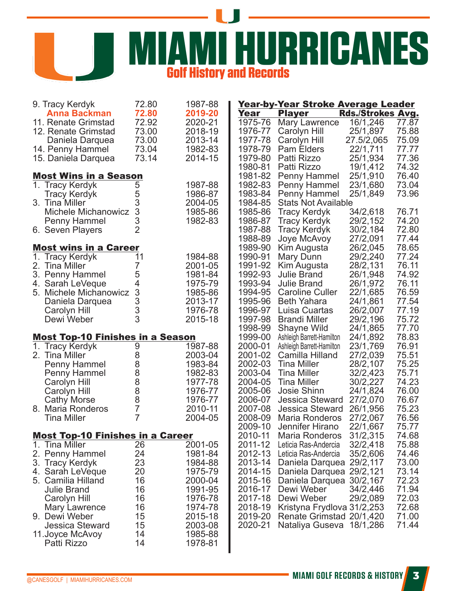

| 9. Tracy Kerdyk                         | 72.80          | 1987-88 |         | Year-by-Year Stroke Average Leader |                   |       |
|-----------------------------------------|----------------|---------|---------|------------------------------------|-------------------|-------|
| <b>Anna Backman</b>                     | 72.80          | 2019-20 | Year    | <b>Player</b>                      | Rds./Strokes Avg. |       |
| 11. Renate Grimstad                     | 72.92          | 2020-21 | 1975-76 | <b>Mary Lawrence</b>               | 16/1,246          | 77.87 |
| 12. Renate Grimstad                     | 73.00          | 2018-19 | 1976-77 | Carolyn Hill                       | 25/1,897          | 75.88 |
| Daniela Darquea                         | 73.00          | 2013-14 | 1977-78 | Carolyn Hill                       | 27.5/2,065        | 75.09 |
| 14. Penny Hammel                        | 73.04          | 1982-83 | 1978-79 | <b>Pam Elders</b>                  | 22/1,711          | 77.77 |
| 15. Daniela Darquea                     | 73.14          | 2014-15 | 1979-80 | Patti Rizzo                        | 25/1,934          | 77.36 |
|                                         |                |         | 1980-81 | Patti Rizzo                        | 19/1,412          | 74.32 |
| <b>Most Wins in a Season</b>            |                |         | 1981-82 | Penny Hammel                       | 25/1,910          | 76.40 |
| 1. Tracy Kerdyk                         | 5              | 1987-88 | 1982-83 | Penny Hammel                       | 23/1,680          | 73.04 |
|                                         |                |         |         |                                    |                   |       |
| <b>Tracy Kerdyk</b>                     | 5              | 1986-87 | 1983-84 | Penny Hammel                       | 25/1,849          | 73.96 |
| 3. Tina Miller                          | 3              | 2004-05 | 1984-85 | <b>Stats Not Available</b>         |                   |       |
| <b>Michele Michanowicz</b>              | 3              | 1985-86 | 1985-86 | <b>Tracy Kerdyk</b>                | 34/2,618          | 76.71 |
| Penny Hammel                            | 3              | 1982-83 | 1986-87 | <b>Tracy Kerdyk</b>                | 29/2,152          | 74.20 |
| 6. Seven Players                        | $\overline{2}$ |         | 1987-88 | <b>Tracy Kerdyk</b>                | 30/2,184          | 72.80 |
|                                         |                |         | 1988-89 | Joye McAvoy                        | 27/2,091          | 77.44 |
| <b>Most wins in a Career</b>            |                |         | 1989-90 | Kim Augusta                        | 26/2,045          | 78.65 |
| 1. Tracy Kerdyk                         | 11             | 1984-88 | 1990-91 | Mary Dunn                          | 29/2,240          | 77.24 |
| 2. Tina Miller                          | 7              | 2001-05 | 1991-92 | Kim Augusta                        | 28/2,131          | 76.11 |
| 3. Penny Hammel                         | 5              | 1981-84 | 1992-93 | <b>Julie Brand</b>                 | 26/1,948          | 74.92 |
|                                         | 4              |         |         |                                    |                   |       |
| 4. Sarah LeVeque                        |                | 1975-79 | 1993-94 | <b>Julie Brand</b>                 | 26/1,972          | 76.11 |
| 5. Michele Michanowicz                  | 3              | 1985-86 | 1994-95 | <b>Caroline Culler</b>             | 22/1,685          | 76.59 |
| Daniela Darquea                         | 3              | 2013-17 | 1995-96 | <b>Beth Yahara</b>                 | 24/1,861          | 77.54 |
| Carolyn Hill                            | 3              | 1976-78 | 1996-97 | Luisa Cuartas                      | 26/2,007          | 77.19 |
| Dewi Weber                              | 3              | 2015-18 | 1997-98 | <b>Brandi Miller</b>               | 29/2,196          | 75.72 |
|                                         |                |         | 1998-99 | <b>Shayne Wild</b>                 | 24/1,865          | 77.70 |
| <b>Most Top-10 Finishes in a Season</b> |                |         | 1999-00 | Ashleigh Barrett-Hamilton          | 24/1,892          | 78.83 |
| 1. Tracy Kerdyk                         | 9              | 1987-88 | 2000-01 | Ashleigh Barrett-Hamilton          | 23/1,769          | 76.91 |
| 2. Tina Miller                          | 8              | 2003-04 | 2001-02 | Camilla Hilland                    | 27/2,039          | 75.51 |
| Penny Hammel                            | 8              | 1983-84 | 2002-03 | <b>Tina Miller</b>                 | 28/2,107          | 75.25 |
| <b>Penny Hammel</b>                     |                | 1982-83 | 2003-04 | <b>Tina Miller</b>                 | 32/2,423          | 75.71 |
|                                         |                | 1977-78 | 2004-05 | <b>Tina Miller</b>                 | 30/2,227          | 74.23 |
| Carolyn Hill                            |                |         |         |                                    |                   |       |
| Carolyn Hill                            |                | 1976-77 | 2005-06 | Josie Shinn                        | 24/1,824          | 76.00 |
| <b>Cathy Morse</b>                      | 88887          | 1976-77 | 2006-07 | <b>Jessica Steward</b>             | 27/2,070          | 76.67 |
| 8. Maria Ronderos                       |                | 2010-11 | 2007-08 | <b>Jessica Steward</b>             | 26/1,956          | 75.23 |
| <b>Tina Miller</b>                      | $\overline{7}$ | 2004-05 | 2008-09 | <b>Maria Ronderos</b>              | 27/2,067          | 76.56 |
|                                         |                |         | 2009-10 | Jennifer Hirano                    | 22/1,667          | 75.77 |
| <b>Most Top-10 Finishes in a Career</b> |                |         | 2010-11 | <b>Maria Ronderos</b>              | 31/2,315          | 74.68 |
| 1. Tina Miller                          | 26             | 2001-05 | 2011-12 | Leticia Ras-Andercia               | 32/2,418          | 75.88 |
| 2. Penny Hammel                         | 24             | 1981-84 | 2012-13 | Leticia Ras-Andercia               | 35/2,606          | 74.46 |
| 3. Tracy Kerdyk                         | 23             | 1984-88 | 2013-14 | Daniela Darquea 29/2,117           |                   | 73.00 |
| 4. Sarah LeVeque                        | 20             | 1975-79 | 2014-15 | Daniela Darquea 29/2,121           |                   | 73.14 |
| 5. Camilia Hilland                      | 16             | 2000-04 | 2015-16 | Daniela Darquea 30/2,167           |                   | 72.23 |
|                                         |                |         |         |                                    |                   |       |
| <b>Julie Brand</b>                      | 16             | 1991-95 | 2016-17 | Dewi Weber                         | 34/2,446          | 71.94 |
| Carolyn Hill                            | 16             | 1976-78 | 2017-18 | Dewi Weber                         | 29/2,089          | 72.03 |
| Mary Lawrence                           | 16             | 1974-78 | 2018-19 | Kristyna Frydlova 31/2,253         |                   | 72.68 |
| 9. Dewi Weber                           | 15             | 2015-18 | 2019-20 | Renate Grimstad 20/1,420           |                   | 71.00 |
| <b>Jessica Steward</b>                  | 15             | 2003-08 | 2020-21 | Nataliya Guseva 18/1,286           |                   | 71.44 |
| 11. Joyce McAvoy                        | 14             | 1985-88 |         |                                    |                   |       |
| Patti Rizzo                             | 14             | 1978-81 |         |                                    |                   |       |
|                                         |                |         |         |                                    |                   |       |